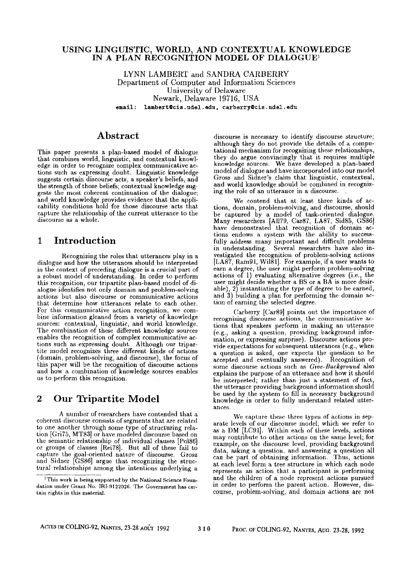#### **USING LINGUISTIC, WORLD, AND CONTEXTUAL KNOWLEDGE**  IN A PLAN RECOGNITION MODEL OF DIALOGUE<sup>1</sup>

LYNN LAMBERT and SANDRA CARBERRY Department of Computer and Information Sciences University of Delaware Newark, Delaware 19716, USA email: lambert@cis.udel.edu, carberry@cis.udel.edu

#### **Abstract**

This paper presents a plan-based model of dialogue that combines world, linguistic, and contextual knowledge in order to recognize complex communicative actions such as expressing doubt. Linguistic knowledge suggests certain discourse acts, a speaker's beliefs, and the strength of those beliefs; contextual knowledge suggests the most coherent continuation of the dialogue; and world knowledge provides evidence that the applicability conditions hold for those discourse acts that capture the relationship of the current utterance to the discourse as a whole.

## **1 Introduction**

Recognizing the roles that utterances play in a dialogue and how the utterances should be interpreted in the context of preceding dialogue is a crucial part of a robust model of understanding. In order to perform this recognition, our tripartite plan-based model of dialogue identifies not only domain and problem-solving actions but also discourse or communicative actions that determine how utterances relate to each other. For this communicative action recognition, we combine information gleaned from a variety of knowledge sources: contextual, linguistic, and world knowledge. The combination of these different knowledge sources enables the recognition of complex communicative actions such as expressing donbt. Although our tripartite model recognizes three different kinds of actions (domain, problem-solving, and discourse), the focus of this paper will be the recognition of discourse actions and how a combination of knowledge sonrces enables us to perform this recognition.

### **2** Our Tripartite Model

A number of researchers have contended that a coherent discourse consists of segments that are related to one another through some type of structuring relation [Gri75, MT83] or have modeled discourse based on the semantic relationship of individual clauses [Pol86] or groups of clauses [Rei78]. But all of these fail to capture the goal-oriented natnre of discoursc. Grosz and Sidner [GS86] argue that recognizing the structural relationships among the intentions underlying a

discourse is necessary to identify discourse structure; although they do not provide the details of a computational mechanism for recognizing these relationships, they do argue convincingly that it requires multiple knowledge sources. We have developed a plan-based model of dialogue and have incorporated into our model Grosz and Sidner's claim that linguistic, contextual, and world knowledge should be combined in recognizing the role of an utterance in a discourse. .

We contend that at least three kinds of actions, domain, problem-solving, and discourse, should be captured by a model of task-oriented dialogue. Many researchers [A1179, Car87, LAB7, Sid85, GS86] have demonstrated that recognition of domain actions endows a system with the ability to successfully address many important and difficult problems in understanding. Several researchers have also investigated the recognition of problem-solving actions [LA87, Ram9I, Wil81]. For example, if a user wants to earn a degree, the user might perform problem-solving actions of 1) evaluating alternative degrees (i.e., the user might decide whether a BS or a BA is more desirable),  $2$ ) instantiating the type of degree to be earned, and 3) building a plan for performing the domain action of earning the selected degree.

Carberry [Car89] points out the importance of recognizing discourse actions, the communicative actions that speakers perform in making an utterance (e.g., asking a question, providing background information, or expressing surprise). Discourse actions provide expectations for subsequent utterances (e.g., when a question is asked, one expects the question to be accepted and eventually answered). Recognition of some discourse actions such as *Give-Background* also explains the purpose of an utterance and bow it should be interpreted; rather than just a statement of fact, the utterance providing background information should be used by the system to fill in necessary background knowledge in order to fully understand related utterantes.

We capture these three types of actions in separate levels of our disconrse model, which we refer to as a DM [LC91]. Within each of these levels, actions may contribute to other actions on the same level; for example, on the discourse level, providing background data, asking a question, and answering a question all can be part of obtaining information. Thus, actions at each level form a tree structure in which each node represents an action that a participant is performing and the children of a node represcnt actions pursued in order to perform the parent action. However, discourse, problem-solving, and domain actions are not

<sup>&</sup>lt;sup>1</sup> This work is being supported by the National Science Foundation under Grant No. IRI-9122026. The Government has certain rights in this material.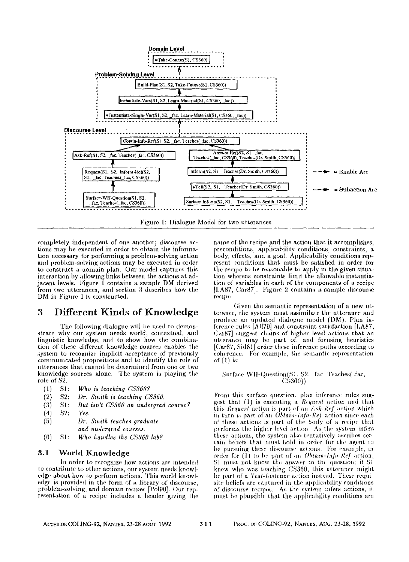

Figure 1: Dialogue Model for two utterances

completely independent of one another; discourse actions may be executed in order to obtain the information necessary for performing a problem-solving action and problem-solving actions may be executed in order to construct a domain plan. Our model captures this interaction by allowing links between the actions at adjacent levels. Figure I contains a sample DM derived from two utterances, and section 3 describes how the DM in Figure 1 is constructed.

#### Different Kinds of Knowledge 3

The following dialogue will be used to demonstrate why our system needs world, contextual, and linguistic knowledge, and to show how the combination of these different knowledge sources enables the system to recognize implicit acceptance of previously communicated propositions and to identify the role of utterances that cannot be determined from one or two knowledge sources alone. The system is playing the role of  $S2$ .

- $(1)$  $S1$ : Who is teaching CS360?
- $(2)$  $S2:$ Dr. Smith is teaching CS360.
- $(3)$  $S1:$ But isn't CS360 an undergrad course?
- 82.  $(4)$ Yes.
- $(5)$ Dr. Smith teaches graduate and undergrad courses.
- $(6)$  $St:$ Who handles the CS360 lab?

#### $3.1$ World Knowledge

In order to recognize how actions are intended to contribute to other actions, our system needs knowledge about how to perform actions. This world knowledge is provided in the form of a library of discourse, problem-solving, and domain recipes [Pol90]. Our representation of a recipe includes a header giving the name of the recipe and the action that it accomplishes. preconditions, applicability conditions, constraints, a body, effects, and a goal. Applicability conditions represent conditions that must be satisfied in order for the recipe to be reasonable to apply in the given situation whereas constraints limit the allowable instantiation of variables in each of the components of a recipe [LA87, Car87]. Figure 2 contains a sample discourse recipe.

Given the semantic representation of a new utterance, the system must assimilate the utterance and produce an updated dialogue model (DM). Plan inference rules [All79] and constraint satisfaction [LA87, Car87] suggest chains of higher level actions that an utterance may be part of, and focusing heuristics [Car87, Sid81] order these inference paths according to coherence. For example, the semantic representation of  $(1)$  is:

#### Surface-WH-Question(S1, S2, fac, Teaches(fac,  $CS36011$

From this surface question, plan inference rules suggest that (1) is executing a Request action and that this Request action is part of an Ask-Ref action which in turn is part of an Obtain-Info-Ref action since each of these actions is part of the body of a recipe that performs the higher level action. As the system infers these actions, the system also tentatively ascribes certain beliefs that must hold in order for the agent to be pursuing these discourse actions. For example, in order for (1) to be part of an Obtain-Info-Ref action, SI must not know the answer to the question; if SI knew who was teaching CS360, this utterance might be part of a Test-Listener action instead. These requisite beliefs are captured in the applicability conditions of discourse recipes. As the system infers actions, it must be plausible that the applicability conditions are

 $311$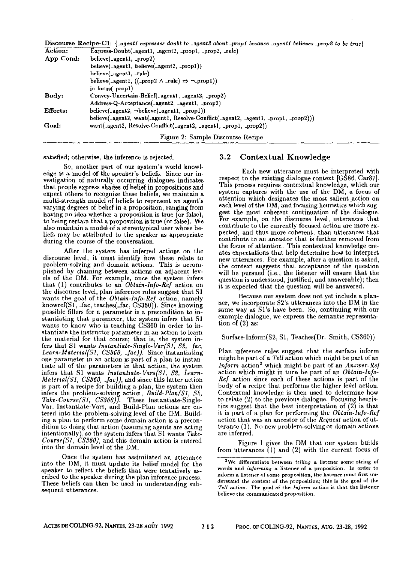|           | Discourse Recipe-C1: {_agent1 expresses doubt to _agent2 about _prop1 because _agent1 believes _prop2 to be true} |
|-----------|-------------------------------------------------------------------------------------------------------------------|
| Action:   | Express-Doubt(_agent1, _agent2, _prop1, _prop2, _rule)                                                            |
| App Cond: | believe(_agent1, _prop2)                                                                                          |
|           | believe(_agent1, believe(_agent2, _prop1))                                                                        |
|           | believe(_agent1, _rule)                                                                                           |
|           | believe(_agent1, ((_prop2 $\land$ _rule) $\Rightarrow \neg$ _prop1))                                              |
|           | in-focus(_prop1)                                                                                                  |
| Body:     | Convey-Uncertain-Belief(.agent1, .agent2, .prop2)                                                                 |
|           | Address-Q-Acceptance(_agent2, _agent1, _prop2)                                                                    |
| Effects:  | believe(_agent2, -believe(_agent1, _prop1))                                                                       |
|           | believe(_agent2, want(_agent1, Resolve-Conflict(_agent2, _agent1, _prop1, _prop2)))                               |
| Goal:     | want(_agent2, Resolve-Conflict(_agent2, _agent1, _prop1, _prop2))                                                 |
|           | Figure 2: Sample Discourse Recipe                                                                                 |

satisfied; otherwise, the inference is rejected.

So, another part of our system's world knowledge is a model of the speaker's beliefs. Since our investigation of naturally occurring dialogues indicates that people express shades of belief in propositions and expect others to recognize these beliefs, we maintain a multi-strength model of beliefs to represent an agent's varying degrees of belief in a proposition, ranging from having no idea whether a proposition is true (or false), to being certain that a proposition is true (or false). We also maintain a model of a stereotypical user whose beliefs may be attributed to the speaker as appropriate during the course of the conversation.

After the system has inferred actions on the discourse level, it must identify how these relate to problem-solving and domain actions. This is accomplished by chaining between actions on adjacent levels of the DM. For example, once the system infers that (1) contributes to an *Obtain-lnfo-Ref* action on the discourse level, plan inference rules suggest that S1 wants the goal of the *Obtain-lnfo-Ref* action, namely knowref(S1, \_fac, teaches(\_fac, CS360)). Since knowing possible fillers for a parameter is a precondition to instantiating that parameter, the system infers that S1 wants to know who is teaching CS360 in order to instantiate the instructor parameter in an action to learn the material for that course; that is, the system infers that S1 wants *lnstantiate-Single-Var(S1, \$2, \_fac, Learn-Material(S1, CS360, \_fac)).* Since instautiating one parameter in an action is part of a plan to instantiate all of the parameters in that action, the system infers that St wants *lnslanlialc-Vars(S1, \$2, Learn-Matenal(Sl, CS360, \_fac)),* and since this latter action is part of a recipe for building a plan, the system then infers the problem-solving action, *Build-Plan(S1, \$2, Take-Course(S1, CS360)).* These instantiate-Single-Var, lnstantiate-Vars, and Build-Plan actions are entered into the problem-solving level of the DM. Building a plan to perform some domain action is a precondition to doing that action (assuming agents are acting intentionally), so the system infers that Sl wants *Take-Course(Sl, CS360),* and this domain action is entered into the domain level of the DM.

Once the system has assimilated an utterance into the DM, it must update its belief model for the speaker to reflect the beliefs that were tentatively ascribed to the speaker during the plan inference process. These beliefs can then be used in understanding subsequent utterances.

#### **3.2** Contextual Knowledge

Each new utterance must be interpreted with respect to the existing dialogue context [GS86, Car87]. This process requires contextual knowledge, which our system captures with the use of the DM, a focus of attention which designates the most salient action on each level of the DM, and focusing heuristics which suggest the most coherent continuation of the dialogue. For example, on the discourse level, utterances that contribute to the currently focused action are more expected, and thus more coherent, than utterances that contribute to an ancestor that is further removed from the focus of attention. This contextual knowledge creates expectations that help determine how to interpret new utterances. For example, after a question is asked, the context suggests that acceptance of the question will be pursued (i.e., the listener will ensure that the question is understood, justified, and answerable); then it is expected that the question will be answered.

Because our system does not yet include a planner, we incorporate S2's utterances into the DM in the same way as Sl's have been. So, continuing with our example dialogue, we express the semantic representation of (2) as:

Surface-Inform(S2, S1, Teaches(Dr. Smith, CS360))

Plan inference rules suggest that the surface inform might be part of a *Tell* action which might be part of an *Inform* action<sup>2</sup> which might be part of an *Answer-Ref* action which might in turn be part of an *Obtain-lnfo-Rcf* action since each of these actions is part of the body of a recipe that performs the higher level action. Contextual knowledge is then used to determine how to relate (2) to the previous dialogue. Focusing heuristics suggest that the best interpretation of (2) is that it is part of a plan for performing the *Obtain-lnfo-Ref*  action that was an ancestor of the *Request* action of utterance (1). No new problem-solving or domain actious are inferred.

Figure 1 gives the DM that our system builds from utterances (l) and (2) with the current focus of

**<sup>2</sup>We** differentiate between *telling* a listener some string of words and *informing* a listener of a proposition. In order to inform a listener of some proposition, the listener must first understand the content of the proposition; this is the goal of the *Tell* action. The goal **of the** *ln]orm* action is that the listener believe the communicated proposition.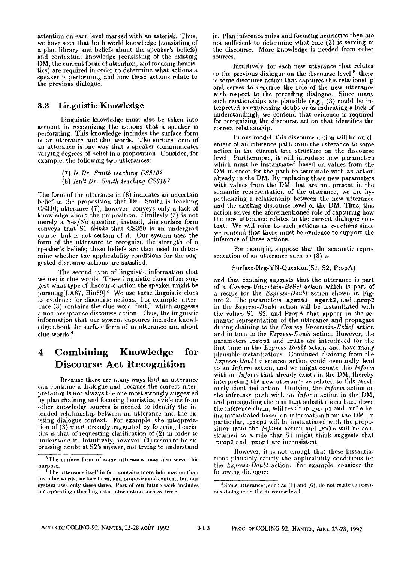attention on each level marked with an asterisk. Thus, we have seen that both world knowledge (consisting of a plan library and beliefs about the speaker's beliefs) and contextual knowledge (consisting of the existing DM, the current focus of attention, and focusing heuristics) are required in order to determine what actions a speaker is performing and how these actions relate to the previous dialogue.

#### 3.3 Linguistic Knowledge

Linguistic knowledge must also be taken into account in recognizing the actions that a speaker is performing. This knowledge inehldes the surface form of an utterance and clue words. The surface form of an utterance is one way that a speaker communicates varying degrees of belief in a proposition. Consider, for example, the following two utterances:

(7) *Is Dr. Smith teaching CS3107* 

(8) *Isn't Dr. Smith teaching CS3107* 

The form of the utterance in (8) indicates an uncertain belief in the proposition that Dr. Smith is teaching CS310; utterance (7), however, conveys only a lack of knowledge about the proposition. Similarly (3) is not merely a Yes/No question; instead, this surface form conveys that S1 *thinks* that CS360 is an undergrad course, but is not certain of it. Our system uses the form of the utterance to recognize the strength of a speaker's beliefs; these beliefs are then used to determine whether the applicability conditions for the suggested discourse actions are satisfied.

The second type of linguistic information that we use is clue words. These linguistic clues often suggest what type of discourse action the speaker might be pursuing $[LA87, Hin89]$ <sup>3</sup> We use these linguistic clues as evidence for discourse actions. For example, utterance (3) contains the clue word "but," which suggests a non-acceptance discourse action. Thus, the linguistic information that our system captures includes knowledge about the surface form of an utterance and about clue words. 4

## **4 Combining Knowledge for**  Discourse Act Recognition

Because there are many ways that an utterance can continue a dialogue and because the correct interpretation is not always the one most strongly suggested by plan chaining and focusing heuristics, evidence from other knowledge sources is needed to identify the intended relationship between an utterance and the existing dialogue context. For example, the interpretation of (3) most strongly suggested by focusing heuristics is that of requesting clarification of (2) in order to nnderstand it. Intuitively, however, (3) seems to be e× pressing doubt at S2's answer, not trying to understand

it. Plan inference rules and focasing heuristics then are not sufficient to determine what role (3) is serving in the discourse. More knowledge is needed from other sources.

Intuitively, for each new utterance that relates to the previous dialogue on the discourse level,  $5$  there is some discourse action that captures this relationship and serves to describe the role of the new utterance with respect to the preceding dialogue. Since many such relationships are plausible (e.g., (3) could be in-terpreted as expressing doubt or as indicating a lack of understanding), we contend that evidence is required for recognizing the discourse action that identifies the correct relationship.

In our model, this discourse action will he an element of an inference path from the utterance to some action in the current tree structure on the discourse level. Furthermore, it will introduce new parameters which must be instantiated based on values from the DM in order for the path to terminate with an action already in the DM. By replacing these new parameters with values from the DM that are not present in the semantic representation of the utterance, wc are hypothesizing a relationship between the new utterance and the existing discourse level of the DM. Thus, this action serves the aforementioned role of capturing how the new utterance relates to the current dialogue context. We will refer to such actions as *e-actions* since we contend that there must be evidence to support the inference of these actions.

For example, suppose that the semantic representation of an utterance such as (8) is

#### Surface-Neg-YN-Question(Sl, \$2, PropA)

and that chaining suggests that the utterance is part of a *Convey-Uncertain.Belief* action which is part of a recipe for the *Express-Doubt* action shown in Figure 2. The parameters **\_agent1, \_agent2, and \_prop2**<br>in the *Express-Doubt* action will be instantiated with the values \$1, \$2, and PropA that appear in the semantic representation of the utterance and propagate during chaining to the *Convey Uncertain-Belief* action and in turn to the *Express-Doubt* action, tlowever, the parameters \_prop1 and \_rule are introduced for the first time in the *Express-Doubt* action and have many plausible instantiations. Continued chaining from the *Express-Doubt* discourse action could eventually lead to an *Inform* action, and we might equate this *Inform*  with an *Inform* that already exists in the DM, thereby interpreting the new utterance as related to this previously identified action. Unifying the *Inform* action on the inference path with an *Inform* action in the DM, and propagating the resultant substitutions back down the inference chain, will result in \_prop1 and \_rule being instantiated based on information from the DM. In particular, \_prop1 will be instantiated with the proposition from the *Inform* action and rule will be constrained to a rule that S1 might think suggests that \_prop2 and \_prop1 are inconsistent.

llowever, it is not enough that these instantiations plausibly satisfy the applicability conditions for the *Express-Doubt* action. For example, consider the following dialogue:

<sup>&</sup>lt;sup>3</sup>The surface form of some utterances may also serve this purpose.

 $4$ The utterance itself in fact contains more information than just clue words, surface form, and propositional content, but our system uses only these three. Part of our future work includes incorporating other linguistic information such as tense.

 $5$  Some utterances, such as  $(1)$  and  $(6)$ , do not relate to previous dialogue on the discourse level.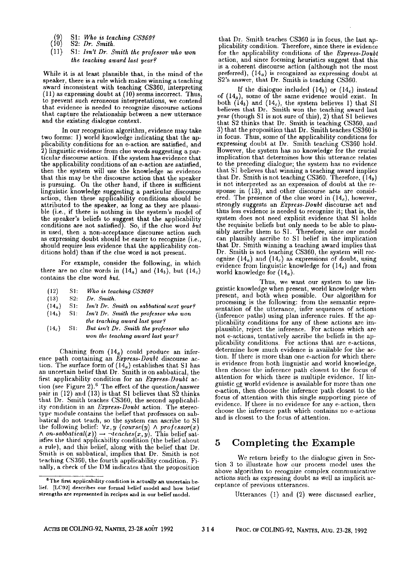- $\begin{array}{r} \text{(9)} \quad \text{S1:} \quad \text{Who is teaching } \text{CS360?} \\ \text{(10)} \quad \text{S2:} \quad \text{Dr.} \quad \text{Smith.} \end{array}$
- ( \$2: *Dr. Smith.*
- (11) SI: *Isn't Dr. Smith lhe professor who won the teaching award last year?*

While it is at least plausible that, in the mind of the speaker, there is a rule which makes winning a teaching award inconsistent with teaching CS360, interpreting (11) as expressing doubt at (10) seems incorrect. Thus, to prevent such erroneous interpretations, we contend that evidence is needed to recognize discourse actions that capture the relationship between a new utterance and the existing dialogue context.

In our recognition algorithm, evidence may take two forms: 1) world knowledge indicating that the applicability conditions for an e-action are satisfied, and 2) linguistic evidence from clue words suggesting a particular discourse action. If the system has evidence that the applicability conditions of an e-action are satisfied, then the system will use the knowledge as evidence that this may be the discourse action that the speaker is pursuing. On the other hand, if there is sufficient linguistic knowledge suggesting a particular discourse action, then these applicability conditions should be attributed to the speaker, as long as they are plausible (i.e., if there is nothing in the system's model of the speaker's beliefs to suggest that the applicability conditions are not satisfied). So, if the clue word *but*  is used, then a non-acceptance discourse action such as expressing doubt should be easier to recognize (i.e., should require less evidence that the applicability conditions hold) than if the clue word is not present.

For example, consider the following, in which there are no clue words in  $(14<sub>a</sub>)$  and  $(14<sub>b</sub>)$ , but  $(14<sub>c</sub>)$ contains the clue word *but.* 

- (12) Sl: *Who is teaching CS3607*
- (13) \$2: *Dr. Smith.*
- (14,) SI: *Isn't Dr. Smith on sabbatical next year?*
- (14b) SI: *Isn't Dr. Smith the professor who won the teaching award last year?*
- (14c) SI: *But isn't Dr. Smith the professor who won the teaching award last year?*

Chaining from  $(14<sub>a</sub>)$  could produce an inference path containing an *Express-Doubt* discourse action. The surface form of  $(14<sub>a</sub>)$  establishes that S1 has an uncertain belief that Dr. Smith is on sabbatical, the first applicability condition for an *Express-Doubt* action (see Figure 2).<sup>6</sup> The effect of the question/answer pair in (12) and (13) is that S1 believes that S2 thinks that Dr. Smith teaches CS360, the second applicability condition in an *Express-Doubt* action. The stereotype module contains the belief that professors on sabbatical do not teach, so the system can ascribe to S1<br>the following belief: ∀x, y (course(y) A professor(x)<br>A on-sabbatical(x)) → ¬teaches(x, y). This belief satisfies tbe third applicability condition (the belief about a rule), and this belief, along with the belief that Dr. Smith is on sabbatical, implies that Dr. Smith is not teaching CS360, the fourth applicability condition. Finally, a check of the DM indicates that the proposition

that Dr. Smith teaches CS360 is in focus, the last applicability condition. Therefore, since there is evidence for the applicability conditions of the *Express-Doubt*  action, and since focusing heuristics suggest that this is a coherent discourse action (although not the most preferred),  $(14<sub>a</sub>)$  is recognized as expressing doubt at S2's answer, that Dr. Smith is teaching CS360.

If the dialogue included  $(14<sub>b</sub>)$  or  $(14<sub>c</sub>)$  instead of  $(14<sub>a</sub>)$ , some of the same evidence would exist. In both  $(14<sub>b</sub>)$  and  $(14<sub>c</sub>)$ , the system believes 1) that S1 believes that Dr. Smith won the teaching award last year (though S1 is not sure of this), 2) that S1 believes that \$2 thinks that Dr. Smith is teaching CS360, and 3) that the proposition that Dr. Smith teaches CS360 is in focus. Thus, some of the applicability conditions for expressing doubt at Dr. Smith teaching CS360 hold. However, the system has no knowledge for the crucial implication that determines how this utterance relates to the preceding dialogue; the system has no evidence that S1 believes that winning a teaching award implies that Dr. Smith is not teaching CS360. Therefore,  $(14<sub>b</sub>)$ is not interpreted as an expression of doubt at the response in (13), and other discourse acts are considered. The presence of the clue word in  $(14<sub>c</sub>)$ , however, strongly suggests an *Express-Doubt* discourse act and thus less evidence is needed to recognize it; that is, the system does not need explicit evidence that S1 holds the requisite beliefs but only needs to be able to plansibly ascribe them to S1. Therefore, since our model can plausibly ascribe to S1 belief in the implication that Dr. Smith winning a teaching award implies that Dr. Smith is not teaching CS360, the system will recognize  $(14_a)$  and  $(14_c)$  as expressions of doubt, using evidence from linguistic knowledge for  $(14<sub>c</sub>)$  and from world knowledge for  $(14<sub>a</sub>)$ .

Thus, we want our system to use linguistic knowledge when present, world knowledge when present, and both when possible. Onr algorithm for processing is the following: from the semantic representation of the utterance, infer sequences of actions (inference paths) using plan inference roles. If the applicability conditions for any of these actions are implausible, reject the inference. For actions which are not e-actions, tentatively ascribe the beliefs in the applicability comlitions. For actions that are e-actions, determine how much evidence is available for the action. If there is more than one e-action for which there is evidence from both linguistic and world knowledge, then choose the inference path closest to the focus of attention for which there is multiple evidence. If linguistic or world evidence is available for more than one e-action, then choose the inference path closest to the focus of attention with this single supporting piece of evidence. If there is no evidence for any e-action, then choose the inference path which contains no e-actions and is closest to the focus of attention.

### **5** Completing the Example

We return briefly to the dialogue given in Section 3 to ilhlstrate how our process model uses the above algorithm to recognize complex communicative actions such as expressing doubt as well as implicit acceptance of previous utterances.

Utterances (1) and (2) were discussed earlier,

 $e^6$ The first applicability condition is actually an uncertain belief. [LC92] describes our formal belief model and how belief strengths are represented in recipes and in our belief model.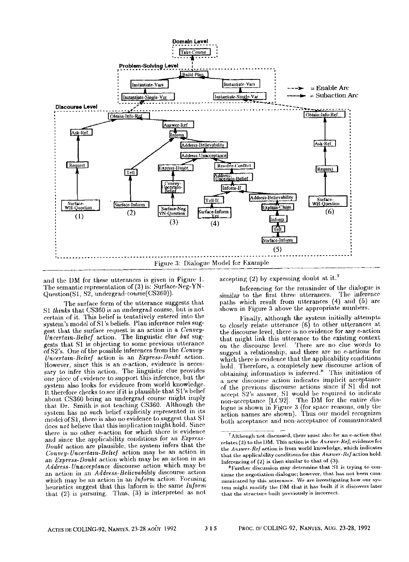

and the DM for these utterances is given in Figure 1. The semantic representation of (3) is: Surface-Neg-YN-Question(S1, S2, undergrad-course(CS360)).

The surface form of the utterance suggests that S1 thinks that CS360 is an undergrad course, but is not certain of it. This belief is tentatively entered into the system's model of S1's beliefs. Plan inference rules suggest that the surface request is an action in a Convey-Uncertain-Belief action. The linguistic clue but suggests that S1 is objecting to some previous utterance of S2's. One of the possible inferences from the Convev-Uncertain-Belief action is an Express-Doubt action. However, since this is an e-action, evidence is necessary to infer this action. The linguistic clue provides one piece of evidence to support this inference, but the system also looks for evidence from world knowledge. It therefore checks to see if it is plausible that S1's belief about CS360 being an undergrad course might imply that Dr. Smith is not teaching CS360. Although the system has no such belief explicitly represented in its model of S1, there is also no evidence to suggest that S1 does not believe that this implication might hold. Since there is no other e-action for which there is evidence and since the applicability conditions for an Express-Doubt action are plausible, the system infers that the Convey-Uncertain-Belief action may be an action in an Express-Doubt action which may be an action in an Address-Unacceptance discourse action which may be an action in an Address-Believability discourse action which may be an action in an Inform action. Focusing heuristics suggest that this Inform is the same Inform that  $(2)$  is pursuing. Thus,  $(3)$  is interpreted as not

accepting (2) by expressing doubt at it.<sup>7</sup>

Inferencing for the remainder of the dialogue is similar to the first three utterances. The inference paths which result from utterances (4) and (5) are shown in Figure 3 above the appropriate numbers.

Finally, although the system initially attempts to closely relate utterance (6) to other utterances at the discourse level, there is no evidence for any e-action that might link this utterance to the existing context on the discourse level. There are no clue words to suggest a relationship, and there are no e-actions for which there is evidence that the applicability conditions hold. Therefore, a completely new discourse action of obtaining information is inferred.<sup>8</sup> This initiation of a new discourse action indicates implicit acceptance of the previous discourse actions since if S1 did not accept S2's answer, S1 would be required to indicate<br>non-acceptance [LC92]. The DM for the entire dialogue is shown in Figure 3 (for space reasons, only the action names are shown). Thus our model recognizes both acceptance and non-acceptance of communicated

315

Although not discussed, there must also be an e-action that relates (2) to the DM. This action is the Answer-Ref; evidence for the Answer-Ref action is from world knowledge, which indicates that the applicability conditions for this Answer-Ref action hold. Inferencing of  $(2)$  is then similar to that of  $(3)$ .

<sup>&</sup>lt;sup>8</sup>Further discussion may determine that S1 is trying to continue the negotiation dialogue; however, that has not been communicated by this utterance. We are investigating how our system might modify the DM that it has built if it discovers later that the structure built previously is incorrect.